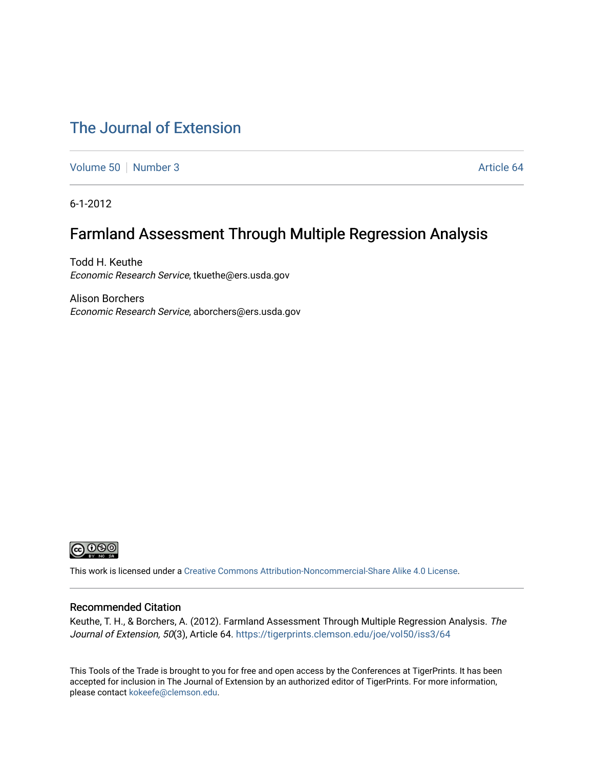## [The Journal of Extension](https://tigerprints.clemson.edu/joe)

[Volume 50](https://tigerprints.clemson.edu/joe/vol50) [Number 3](https://tigerprints.clemson.edu/joe/vol50/iss3) Article 64

6-1-2012

# Farmland Assessment Through Multiple Regression Analysis

Todd H. Keuthe Economic Research Service, tkuethe@ers.usda.gov

Alison Borchers Economic Research Service, aborchers@ers.usda.gov



This work is licensed under a [Creative Commons Attribution-Noncommercial-Share Alike 4.0 License.](https://creativecommons.org/licenses/by-nc-sa/4.0/)

### Recommended Citation

Keuthe, T. H., & Borchers, A. (2012). Farmland Assessment Through Multiple Regression Analysis. The Journal of Extension, 50(3), Article 64.<https://tigerprints.clemson.edu/joe/vol50/iss3/64>

This Tools of the Trade is brought to you for free and open access by the Conferences at TigerPrints. It has been accepted for inclusion in The Journal of Extension by an authorized editor of TigerPrints. For more information, please contact [kokeefe@clemson.edu](mailto:kokeefe@clemson.edu).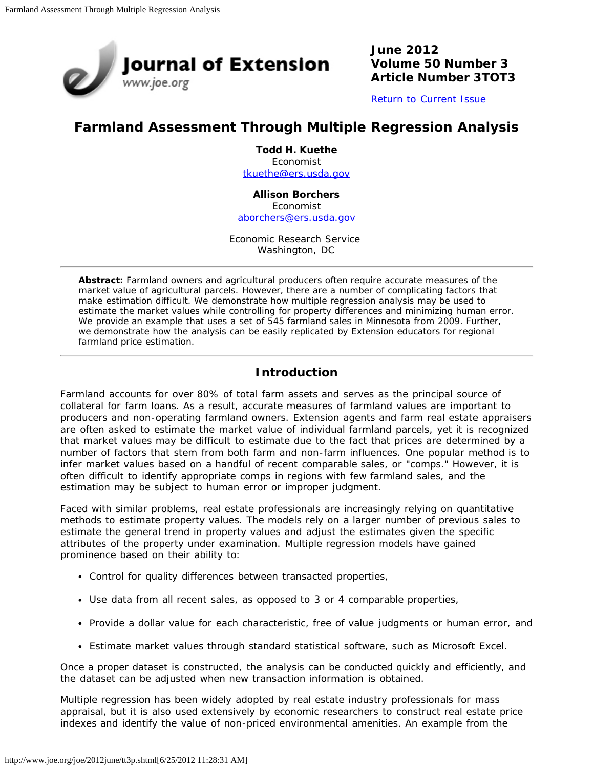

**June 2012 Volume 50 Number 3 Article Number 3TOT3**

[Return to Current Issue](http://www.joe.org/joe/2012june/)

## **Farmland Assessment Through Multiple Regression Analysis**

**Todd H. Kuethe** Economist [tkuethe@ers.usda.gov](mailto:tkuethe@ers.usda.gov)

**Allison Borchers**

Economist [aborchers@ers.usda.gov](mailto:aborchers@ers.usda.gov)

Economic Research Service Washington, DC

*Abstract: Farmland owners and agricultural producers often require accurate measures of the market value of agricultural parcels. However, there are a number of complicating factors that make estimation difficult. We demonstrate how multiple regression analysis may be used to estimate the market values while controlling for property differences and minimizing human error. We provide an example that uses a set of 545 farmland sales in Minnesota from 2009. Further, we demonstrate how the analysis can be easily replicated by Extension educators for regional farmland price estimation.*

## **Introduction**

Farmland accounts for over 80% of total farm assets and serves as the principal source of collateral for farm loans. As a result, accurate measures of farmland values are important to producers and non-operating farmland owners. Extension agents and farm real estate appraisers are often asked to estimate the market value of individual farmland parcels, yet it is recognized that market values may be difficult to estimate due to the fact that prices are determined by a number of factors that stem from both farm and non-farm influences. One popular method is to infer market values based on a handful of recent comparable sales, or "comps." However, it is often difficult to identify appropriate comps in regions with few farmland sales, and the estimation may be subject to human error or improper judgment.

Faced with similar problems, real estate professionals are increasingly relying on quantitative methods to estimate property values. The models rely on a larger number of previous sales to estimate the general trend in property values and adjust the estimates given the specific attributes of the property under examination. Multiple regression models have gained prominence based on their ability to:

- Control for quality differences between transacted properties,
- Use data from all recent sales, as opposed to 3 or 4 comparable properties,
- Provide a dollar value for each characteristic, free of value judgments or human error, and
- Estimate market values through standard statistical software, such as Microsoft Excel.

Once a proper dataset is constructed, the analysis can be conducted quickly and efficiently, and the dataset can be adjusted when new transaction information is obtained.

Multiple regression has been widely adopted by real estate industry professionals for mass appraisal, but it is also used extensively by economic researchers to construct real estate price indexes and identify the value of non-priced environmental amenities. An example from the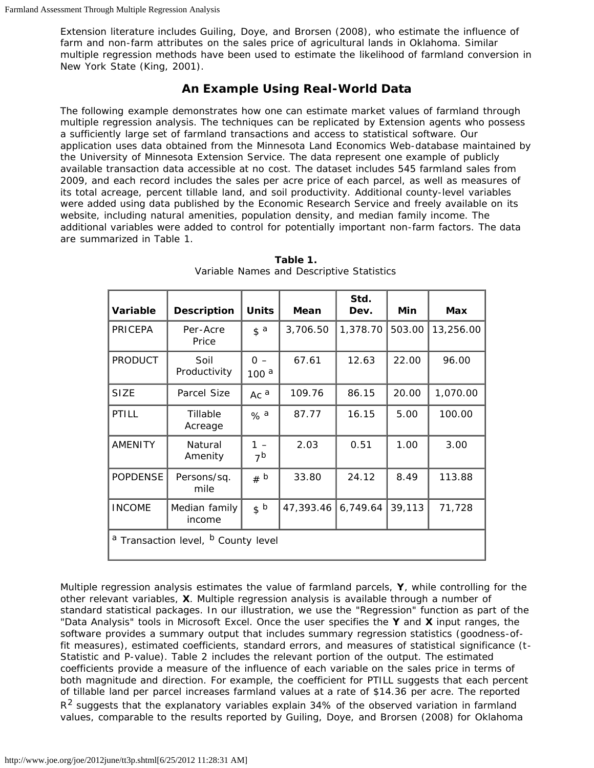Extension literature includes Guiling, Doye, and Brorsen (2008), who estimate the influence of farm and non-farm attributes on the sales price of agricultural lands in Oklahoma. Similar multiple regression methods have been used to estimate the likelihood of farmland conversion in New York State (King, 2001).

## **An Example Using Real-World Data**

The following example demonstrates how one can estimate market values of farmland through multiple regression analysis. The techniques can be replicated by Extension agents who possess a sufficiently large set of farmland transactions and access to statistical software. Our application uses data obtained from the Minnesota Land Economics Web-database maintained by the University of Minnesota Extension Service. The data represent one example of publicly available transaction data accessible at no cost. The dataset includes 545 farmland sales from 2009, and each record includes the sales per acre price of each parcel, as well as measures of its total acreage, percent tillable land, and soil productivity. Additional county-level variables were added using data published by the Economic Research Service and freely available on its website, including natural amenities, population density, and median family income. The additional variables were added to control for potentially important non-farm factors. The data are summarized in Table 1.

| Variable                                                  | <b>Description</b>      | <b>Units</b>                   | Mean      | Std.<br>Dev. | Min    | <b>Max</b> |  |
|-----------------------------------------------------------|-------------------------|--------------------------------|-----------|--------------|--------|------------|--|
| PRICEPA                                                   | Per-Acre<br>Price       | $\mathfrak{s}$ a               | 3,706.50  | 1,378.70     | 503.00 | 13,256.00  |  |
| <b>PRODUCT</b>                                            | Soil<br>Productivity    | $\Omega -$<br>100 <sup>a</sup> | 67.61     | 12.63        | 22.00  | 96.00      |  |
| <b>SIZE</b>                                               | Parcel Size             | Ac $a$                         | 109.76    | 86.15        | 20.00  | 1,070.00   |  |
| <b>PTILL</b>                                              | Tillable<br>Acreage     | % a                            | 87.77     | 16.15        | 5.00   | 100.00     |  |
| <b>AMENITY</b>                                            | Natural<br>Amenity      | 1<br>7 <sup>b</sup>            | 2.03      | 0.51         | 1.00   | 3.00       |  |
| <b>POPDENSE</b>                                           | Persons/sq.<br>mile     | # b                            | 33.80     | 24.12        | 8.49   | 113.88     |  |
| <b>INCOME</b>                                             | Median family<br>income | s <sub>b</sub>                 | 47,393.46 | 6,749.64     | 39,113 | 71,728     |  |
| <sup>a</sup> Transaction level, <sup>b</sup> County level |                         |                                |           |              |        |            |  |

**Table 1.** Variable Names and Descriptive Statistics

Multiple regression analysis estimates the value of farmland parcels, **Y**, while controlling for the other relevant variables, **X**. Multiple regression analysis is available through a number of standard statistical packages. In our illustration, we use the "Regression" function as part of the "Data Analysis" tools in Microsoft Excel. Once the user specifies the **Y** and **X** input ranges, the software provides a summary output that includes summary regression statistics (goodness-offit measures), estimated coefficients, standard errors, and measures of statistical significance (t-Statistic and P-value). Table 2 includes the relevant portion of the output. The estimated coefficients provide a measure of the influence of each variable on the sales price in terms of both magnitude and direction. For example, the coefficient for PTILL suggests that each percent of tillable land per parcel increases farmland values at a rate of \$14.36 per acre. The reported  $R<sup>2</sup>$  suggests that the explanatory variables explain 34% of the observed variation in farmland values, comparable to the results reported by Guiling, Doye, and Brorsen (2008) for Oklahoma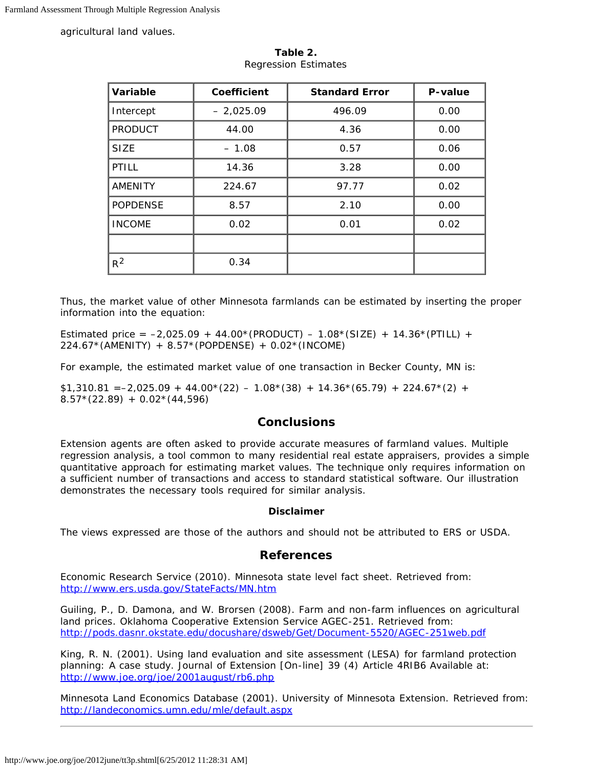agricultural land values.

| Variable        | Coefficient | <b>Standard Error</b> | P-value |
|-----------------|-------------|-----------------------|---------|
| Intercept       | $-2,025.09$ | 496.09                | 0.00    |
| <b>PRODUCT</b>  | 44.00       | 4.36                  | 0.00    |
| <b>SIZE</b>     | $-1.08$     | 0.57                  | 0.06    |
| <b>PTILL</b>    | 14.36       | 3.28                  | 0.00    |
| <b>AMENITY</b>  | 224.67      | 97.77                 | 0.02    |
| <b>POPDENSE</b> | 8.57        | 2.10                  | 0.00    |
| <b>INCOME</b>   | 0.02        | 0.01                  | 0.02    |
|                 |             |                       |         |
| $R^2$           | 0.34        |                       |         |

**Table 2.** Regression Estimates

Thus, the market value of other Minnesota farmlands can be estimated by inserting the proper information into the equation:

*Estimated price* =  $-2,025.09 + 44.00*(PRODUCT) - 1.08*(SIZE) + 14.36*(PTLL) +$ 224.67\*(AMENITY) + 8.57\*(POPDENSE) + 0.02\*(INCOME)

For example, the estimated market value of one transaction in Becker County, MN is:

 $$1,310.81$  = -2,025.09 + 44.00 $*(22)$  - 1.08 $*(38)$  + 14.36 $*(65.79)$  + 224.67 $*(2)$  +  $8.57*(22.89) + 0.02*(44.596)$ 

### **Conclusions**

Extension agents are often asked to provide accurate measures of farmland values. Multiple regression analysis, a tool common to many residential real estate appraisers, provides a simple quantitative approach for estimating market values. The technique only requires information on a sufficient number of transactions and access to standard statistical software. Our illustration demonstrates the necessary tools required for similar analysis.

#### **Disclaimer**

The views expressed are those of the authors and should not be attributed to ERS or USDA.

### **References**

Economic Research Service (2010). *Minnesota state level fact sheet*. Retrieved from: <http://www.ers.usda.gov/StateFacts/MN.htm>

Guiling, P., D. Damona, and W. Brorsen (2008). *Farm and non-farm influences on agricultural land prices*. Oklahoma Cooperative Extension Service AGEC-251. Retrieved from: <http://pods.dasnr.okstate.edu/docushare/dsweb/Get/Document-5520/AGEC-251web.pdf>

King, R. N. (2001). Using land evaluation and site assessment (LESA) for farmland protection planning: A case study. *Journal of Extension* [On-line] 39 (4) Article 4RIB6 Available at: <http://www.joe.org/joe/2001august/rb6.php>

Minnesota Land Economics Database (2001). University of Minnesota Extension. Retrieved from: <http://landeconomics.umn.edu/mle/default.aspx>